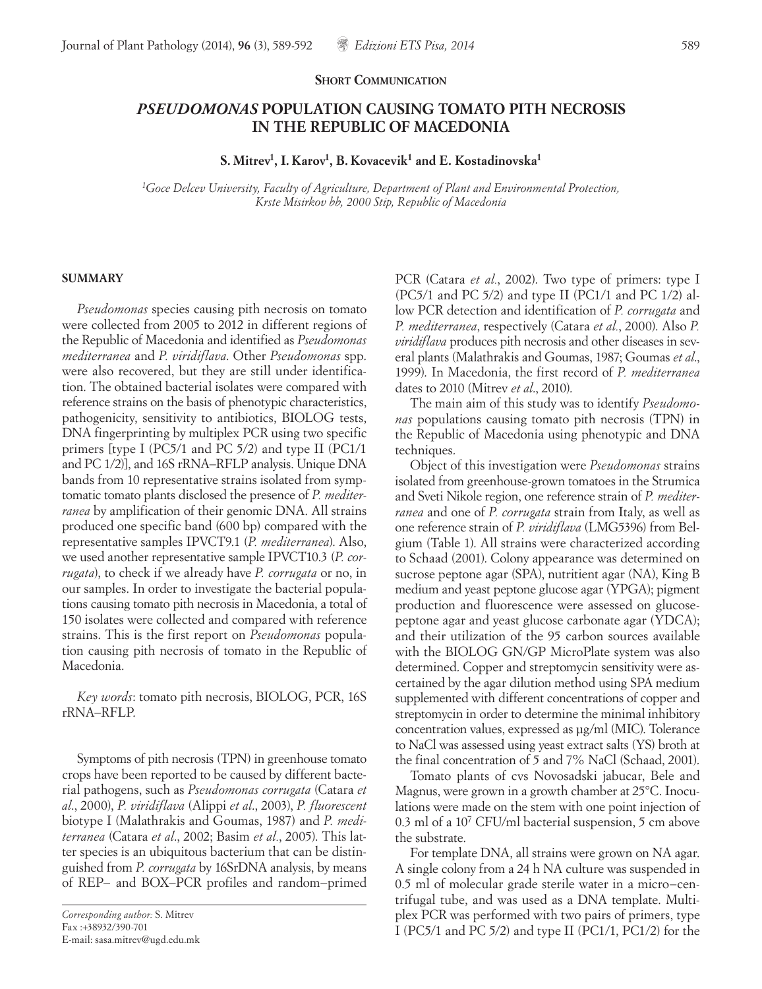## **SHORT COMMUNICATION**

## *PSEUDOMONAS* **POPULATION CAUSING TOMATO PITH NECROSIS IN THE REPUBLIC OF MACEDONIA**

**S. Mitrev1, I. Karov1, B. Kovacevik1 and E. Kostadinovska1**

*1 Goce Delcev University, Faculty of Agriculture, Department of Plant and Environmental Protection, Krste Misirkov bb, 2000 Stip, Republic of Macedonia*

## **SUMMARY**

*Pseudomonas* species causing pith necrosis on tomato were collected from 2005 to 2012 in different regions of the Republic of Macedonia and identified as *Pseudomonas mediterranea* and *P. viridiflava*. Other *Pseudomonas* spp. were also recovered, but they are still under identification. The obtained bacterial isolates were compared with reference strains on the basis of phenotypic characteristics, pathogenicity, sensitivity to antibiotics, BIOLOG tests, DNA fingerprinting by multiplex PCR using two specific primers [type I (PC5/1 and PC 5/2) and type II (PC1/1 and PC 1/2)], and 16S rRNA−RFLP analysis. Unique DNA bands from 10 representative strains isolated from symptomatic tomato plants disclosed the presence of *P. mediterranea* by amplification of their genomic DNA. All strains produced one specific band (600 bp) compared with the representative samples IPVCT9.1 (*P. mediterranea*). Also, we used another representative sample IPVCT10.3 (*P. corrugata*), to check if we already have *P. corrugata* or no, in our samples. In order to investigate the bacterial populations causing tomato pith necrosis in Macedonia, a total of 150 isolates were collected and compared with reference strains. This is the first report on *Pseudomonas* population causing pith necrosis of tomato in the Republic of Macedonia.

*Key words*: tomato pith necrosis, BIOLOG, PCR, 16S rRNA−RFLP.

Symptoms of pith necrosis (TPN) in greenhouse tomato crops have been reported to be caused by different bacterial pathogens, such as *Pseudomonas corrugata* (Catara *et al*., 2000), *P. viridiflava* (Alippi *et al*., 2003), *P. fluorescent*  biotype I (Malathrakis and Goumas, 1987) and *P. mediterranea* (Catara *et al*., 2002; Basim *et al.*, 2005). This latter species is an ubiquitous bacterium that can be distinguished from *P. corrugata* by 16SrDNA analysis, by means of REP− and BOX−PCR profiles and random−primed PCR (Catara *et al.*, 2002). Two type of primers: type I (PC5/1 and PC 5/2) and type II (PC1/1 and PC 1/2) allow PCR detection and identification of *P. corrugata* and *P. mediterranea*, respectively (Catara *et al.*, 2000). Also *P. viridiflava* produces pith necrosis and other diseases in several plants (Malathrakis and Goumas, 1987; Goumas *et al*., 1999). In Macedonia, the first record of *P. mediterranea* dates to 2010 (Mitrev *et al*., 2010).

The main aim of this study was to identify *Pseudomonas* populations causing tomato pith necrosis (TPN) in the Republic of Macedonia using phenotypic and DNA techniques.

Object of this investigation were *Pseudomonas* strains isolated from greenhouse-grown tomatoes in the Strumica and Sveti Nikole region, one reference strain of *P. mediterranea* and one of *P. corrugata* strain from Italy, as well as one reference strain of *P. viridiflava* (LMG5396) from Belgium (Table 1). All strains were characterized according to Schaad (2001). Colony appearance was determined on sucrose peptone agar (SPA), nutritient agar (NA), King B medium and yeast peptone glucose agar (YPGA); pigment production and fluorescence were assessed on glucosepeptone agar and yeast glucose carbonate agar (YDCA); and their utilization of the 95 carbon sources available with the BIOLOG GN/GP MicroPlate system was also determined. Copper and streptomycin sensitivity were ascertained by the agar dilution method using SPA medium supplemented with different concentrations of copper and streptomycin in order to determine the minimal inhibitory concentration values, expressed as μg/ml (MIC). Tolerance to NaCl was assessed using yeast extract salts (YS) broth at the final concentration of 5 and 7% NaCl (Schaad, 2001).

Tomato plants of cvs Novosadski jabucar, Bele and Magnus, were grown in a growth chamber at 25°C. Inoculations were made on the stem with one point injection of 0.3 ml of a  $10^7$  CFU/ml bacterial suspension, 5 cm above the substrate.

For template DNA, all strains were grown on NA agar. A single colony from a 24 h NA culture was suspended in 0.5 ml of molecular grade sterile water in a micro−centrifugal tube, and was used as a DNA template. Multiplex PCR was performed with two pairs of primers, type I (PC5/1 and PC 5/2) and type II (PC1/1, PC1/2) for the

*Corresponding author:* S. Mitrev Fax :+38932/390-701 E-mail: sasa.mitrev@ugd.edu.mk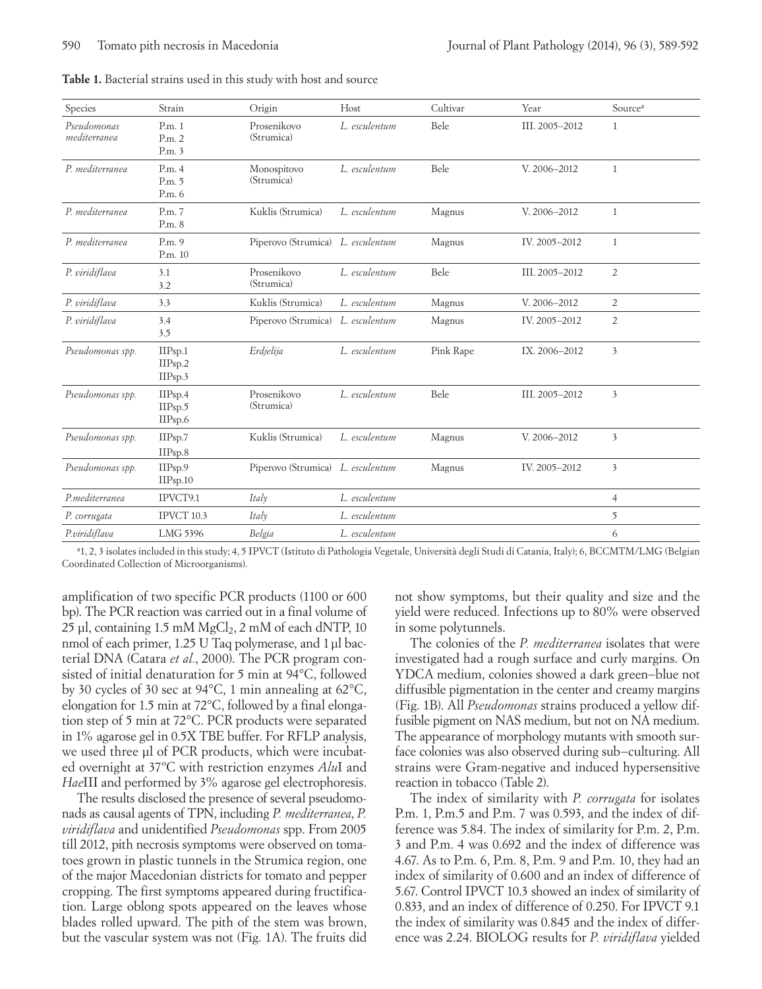| Species                     | Strain                        | Origin                            | Host          | Cultivar  | Year           | Source <sup>a</sup>     |
|-----------------------------|-------------------------------|-----------------------------------|---------------|-----------|----------------|-------------------------|
| Pseudomonas<br>mediterranea | P.m.1<br>P.m.2<br>P.m.3       | Prosenikovo<br>(Strumica)         | L. esculentum | Bele      | III. 2005-2012 | $\mathbf{1}$            |
| P. mediterranea             | P.m.4<br>P.m. 5<br>P.m. 6     | Monospitovo<br>(Strumica)         | L. esculentum | Bele      | V. 2006-2012   | $\mathbf{1}$            |
| P. mediterranea             | P.m. 7<br>P.m. 8              | Kuklis (Strumica)                 | L. esculentum | Magnus    | V. 2006-2012   | $\mathbf{1}$            |
| P. mediterranea             | P.m. 9<br>P.m. 10             | Piperovo (Strumica) L. esculentum |               | Magnus    | IV. 2005-2012  | $\mathbf{1}$            |
| P. viridiflava              | 3.1<br>3.2                    | Prosenikovo<br>(Strumica)         | L. esculentum | Bele      | III. 2005-2012 | $\overline{2}$          |
| P. viridiflava              | 3.3                           | Kuklis (Strumica)                 | L. esculentum | Magnus    | V. 2006-2012   | $\overline{2}$          |
| P. viridiflava              | 3.4<br>3.5                    | Piperovo (Strumica) L. esculentum |               | Magnus    | IV. 2005-2012  | $\overline{2}$          |
| Pseudomonas spp.            | IIPsp.1<br>IIPsp.2<br>IIPsp.3 | Erdjelija                         | L. esculentum | Pink Rape | IX. 2006-2012  | $\overline{\mathbf{3}}$ |
| Pseudomonas spp.            | IIPsp.4<br>IIPsp.5<br>IIPsp.6 | Prosenikovo<br>(Strumica)         | L. esculentum | Bele      | III. 2005-2012 | $\overline{\mathbf{3}}$ |
| Pseudomonas spp.            | IIPsp.7<br>IIPsp.8            | Kuklis (Strumica)                 | L. esculentum | Magnus    | V. 2006-2012   | $\overline{\mathbf{3}}$ |
| Pseudomonas spp.            | IIPsp.9<br>IIPsp.10           | Piperovo (Strumica) L. esculentum |               | Magnus    | IV. 2005-2012  | $\overline{\mathbf{3}}$ |
| P.mediterranea              | IPVCT9.1                      | Italy                             | L. esculentum |           |                | $\overline{4}$          |
| P. corrugata                | IPVCT 10.3                    | Italy                             | L. esculentum |           |                | 5                       |
| P.viridiflava               | LMG 5396                      | Belgia                            | L. esculentum |           |                | 6                       |

a 1, 2, 3 isolates included in this study; 4, 5 IPVCT (Istituto di Pathologia Vegetale, Università degli Studi di Catania, Italy); 6, BCCMTM/LMG (Belgian Coordinated Collection of Microorganisms).

amplification of two specific PCR products (1100 or 600 bp). The PCR reaction was carried out in a final volume of  $25$  μl, containing 1.5 mM MgCl<sub>2</sub>, 2 mM of each dNTP, 10 nmol of each primer, 1.25 U Taq polymerase, and 1μl bacterial DNA (Catara *et al.*, 2000). The PCR program consisted of initial denaturation for 5 min at 94°C, followed by 30 cycles of 30 sec at 94°C, 1 min annealing at 62°C, elongation for 1.5 min at 72°C, followed by a final elongation step of 5 min at 72°C. PCR products were separated in 1% agarose gel in 0.5X TBE buffer. For RFLP analysis, we used three µl of PCR products, which were incubated overnight at 37ºC with restriction enzymes *Alu*I and *Hae*III and performed by 3% agarose gel electrophoresis.

The results disclosed the presence of several pseudomonads as causal agents of TPN, including *P. mediterranea*, *P. viridiflava* and unidentified *Pseudomonas* spp. From 2005 till 2012, pith necrosis symptoms were observed on tomatoes grown in plastic tunnels in the Strumica region, one of the major Macedonian districts for tomato and pepper cropping. The first symptoms appeared during fructification. Large oblong spots appeared on the leaves whose blades rolled upward. The pith of the stem was brown, but the vascular system was not (Fig. 1A). The fruits did

not show symptoms, but their quality and size and the yield were reduced. Infections up to 80% were observed in some polytunnels.

The colonies of the *P. mediterranea* isolates that were investigated had a rough surface and curly margins. On YDCA medium, colonies showed a dark green−blue not diffusible pigmentation in the center and creamy margins (Fig. 1B). All *Pseudomonas* strains produced a yellow diffusible pigment on NAS medium, but not on NA medium. The appearance of morphology mutants with smooth surface colonies was also observed during sub−culturing. All strains were Gram-negative and induced hypersensitive reaction in tobacco (Table 2).

The index of similarity with *P. corrugata* for isolates P.m. 1, P.m.5 and P.m. 7 was 0.593, and the index of difference was 5.84. The index of similarity for P.m. 2, P.m. 3 and P.m. 4 was 0.692 and the index of difference was 4.67. As to P.m. 6, P.m. 8, P.m. 9 and P.m. 10, they had an index of similarity of 0.600 and an index of difference of 5.67. Control IPVCT 10.3 showed an index of similarity of 0.833, and an index of difference of 0.250. For IPVCT 9.1 the index of similarity was 0.845 and the index of difference was 2.24. BIOLOG results for *P. viridiflava* yielded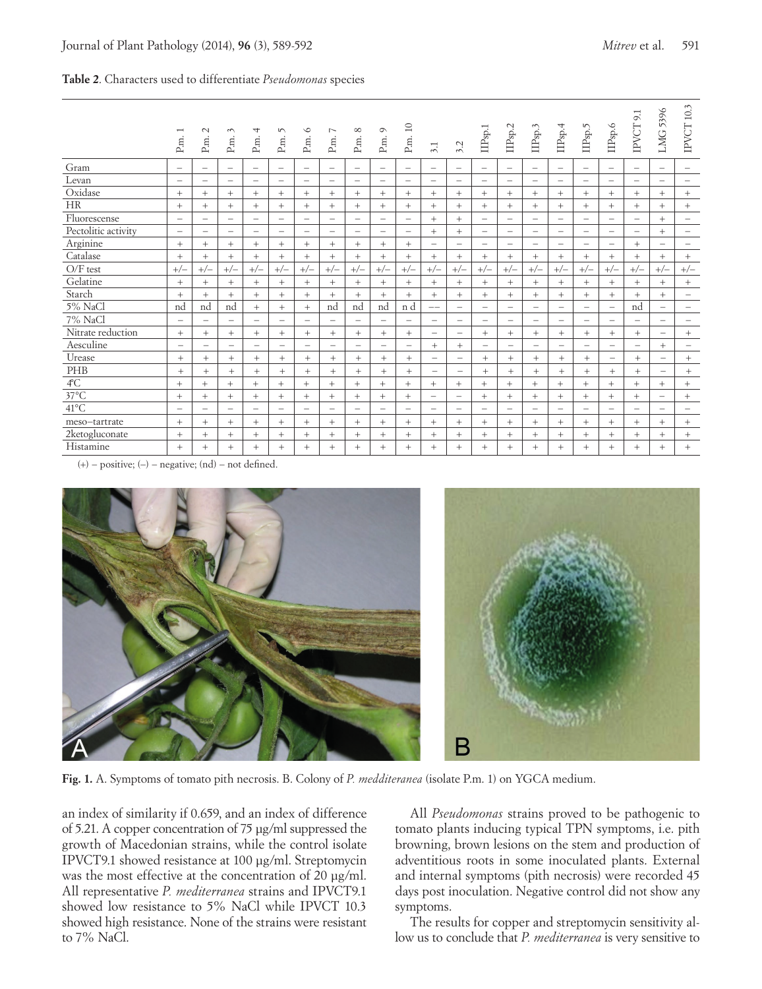|  |  | Table 2. Characters used to differentiate Pseudomonas species |  |
|--|--|---------------------------------------------------------------|--|
|  |  |                                                               |  |

|                       | P.m.                     | $\sim$<br>P.m.           | $\sim$<br>P.m.           | ↴<br>P.m.                | S<br>P.m.                | $\circ$<br>P.m.          | ∼<br>$_{\rm P.m.}$       | $\infty$<br>P.m.         | $\circ$<br>P.m.          | $\Box$<br>P.m.           | 3.1                            | 3.2                      | $\Pi\mathrm{Psp.1}$      | IIP <sub>sp.2</sub>              | $\rm{IPsp.3}$            | $\rm HPsp.4$             | IIP <sub>sp.5</sub>             | IIPsp.6                        | $\infty$<br>IPVCT        | LMG 5396                 | IPVCT 10.3               |
|-----------------------|--------------------------|--------------------------|--------------------------|--------------------------|--------------------------|--------------------------|--------------------------|--------------------------|--------------------------|--------------------------|--------------------------------|--------------------------|--------------------------|----------------------------------|--------------------------|--------------------------|---------------------------------|--------------------------------|--------------------------|--------------------------|--------------------------|
| Gram                  | $\qquad \qquad -$        | $\qquad \qquad -$        | $\qquad \qquad -$        | $\overline{\phantom{m}}$ | $\qquad \qquad -$        | $\overline{\phantom{m}}$ | $\overline{\phantom{a}}$ | $\overline{\phantom{m}}$ | $\overline{\phantom{m}}$ | $\overline{\phantom{m}}$ | $\overline{\phantom{a}}$       | $\overline{\phantom{m}}$ | $\overline{\phantom{m}}$ | $\qquad \qquad -$                | $\overline{\phantom{m}}$ | $\overline{\phantom{m}}$ | $\overline{\phantom{m}}$        | $\qquad \qquad -$              | $\qquad \qquad -$        | $\qquad \qquad -$        | $\overline{\phantom{m}}$ |
| Levan                 | $\overline{\phantom{m}}$ | $\qquad \qquad -$        | $\qquad \qquad -$        | $\qquad \qquad -$        | $\qquad \qquad -$        | $\overline{\phantom{m}}$ | $\qquad \qquad -$        | $\overline{\phantom{m}}$ | $\overline{\phantom{m}}$ | $\overline{\phantom{m}}$ | $\overline{\phantom{a}}$       | $\overline{\phantom{m}}$ | $\overline{\phantom{m}}$ | $\overline{\phantom{m}}$         | $\overline{\phantom{m}}$ | $\overline{\phantom{0}}$ | $\overline{\phantom{m}}$        | $\qquad \qquad -$              | $\qquad \qquad -$        | $\overline{\phantom{m}}$ | $\overline{\phantom{m}}$ |
| Oxidase               | $+$                      | $+$                      | $+$                      | $+$                      | $+$                      | $+$                      | $+$                      | $+$                      | $+$                      | $+$                      | $^{+}$                         | $+$                      | $+$                      | $+$                              | $+$                      | $+$                      | $+$                             | $+$                            | $^{+}$                   | $+$                      | $+$                      |
| <b>HR</b>             | $+$                      | $^{+}$                   | $+$                      | $+$                      | $+$                      | $+$                      | $+$                      | $+$                      | $+$                      | $+$                      | $+$                            | $^{+}$                   | $+$                      | $+$                              | $+$                      | $+$                      | $+$                             | $+$                            | $+$                      | $+$                      | $^{+}$                   |
| Fluorescense          | $\overline{\phantom{m}}$ | $\overline{\phantom{m}}$ | $\qquad \qquad -$        | $\overline{\phantom{m}}$ | $\overline{\phantom{m}}$ | $\overline{\phantom{m}}$ | $\overline{\phantom{m}}$ | $\overline{\phantom{m}}$ | $\overline{\phantom{m}}$ | $\overline{\phantom{m}}$ | $+$                            | $\! + \!\!\!\!$          | $\overline{\phantom{m}}$ | $\overline{\phantom{m}}$         | $\overline{\phantom{m}}$ | $\overline{\phantom{m}}$ | $\overline{\phantom{m}}$        | $\overline{\phantom{0}}$       | $\overline{\phantom{m}}$ | $^{+}$                   | $\overline{\phantom{m}}$ |
| Pectolitic activity   | $\overline{\phantom{m}}$ | $\overline{\phantom{0}}$ | $\qquad \qquad =$        | $\qquad \qquad -$        | $\qquad \qquad$          | $\qquad \qquad$          | $\overline{\phantom{0}}$ | $\qquad \qquad -$        | $\overline{\phantom{0}}$ | $\overline{\phantom{0}}$ | $^{+}$                         | $+$                      | $\overline{\phantom{0}}$ | $\qquad \qquad -$                | $\overline{\phantom{0}}$ | $\qquad \qquad -$        | $\overline{\phantom{m}}$        | $\qquad \qquad -$              | $\qquad \qquad$          | $^{+}$                   | -                        |
| Arginine              | $+$                      | $+$                      | $+$                      | $+$                      | $^{+}$                   | $+$                      | $+$                      | $+$                      | $^{+}$                   | $+$                      | $\overline{\phantom{0}}$       | $\overline{\phantom{m}}$ | $\overline{\phantom{m}}$ | $\overline{\phantom{m}}$         | $\overline{\phantom{m}}$ | $\overline{\phantom{m}}$ | $\overline{\phantom{m}}$        | $\qquad \qquad -$              | $^{+}$                   | $\overline{\phantom{0}}$ | $\qquad \qquad -$        |
| Catalase              | $+$                      | $+$                      | $+$                      | $+$                      | $^{+}$                   | $+$                      | $+$                      | $+$                      | $+$                      | $+$                      | $+$                            | $+$                      | $+$                      | $+$                              | $+$                      | $+$                      | $+$                             | $+$                            | $^{+}$                   | $+$                      | $^{+}$                   |
| $O/F$ test            | $+/-$                    | $+/-$                    | $+/-$                    | $+/-$                    | $+/-$                    | $+/-$                    | $+/-$                    | $+/-$                    | $+/-$                    | $+/-$                    | $+/-$                          | $+/-$                    | $+/-$                    | $+/-$                            | $+/-$                    | $+/-$                    | $+/-$                           | $+/-$                          | $+/-$                    | $+/-$                    | $+/-$                    |
| Gelatine              | $+$                      | $+$                      | $+$                      | $+$                      | $+$                      | $+$                      | $+$                      | $+$                      | $+$                      | $+$                      | $+$                            | $+$                      | $+$                      | $+$                              | $+$                      | $+$                      | $+$                             | $+$                            | $+$                      | $+$                      | $^{+}$                   |
| Starch                | $+$                      | $+$                      | $+$                      | $+$                      | $+$                      | $+$                      | $+$                      | $+$                      | $+$                      | $+$                      | $^{+}$                         | $+$                      | $+$                      | $+$                              | $+$                      | $+$                      | $+$                             | $+$                            | $+$                      | $^{+}$                   | $\qquad \qquad -$        |
| 5% NaCl               | nd                       | nd                       | nd                       | $+$                      | $+$                      | $+$                      | nd                       | nd                       | nd                       | n d                      | $--$                           | $\qquad \qquad -$        | $\overline{\phantom{0}}$ | $\overbrace{\phantom{12322111}}$ | $\qquad \qquad -$        | $\overline{\phantom{m}}$ | $\qquad \qquad -$               | $\overline{\phantom{m}}$       | nd                       | $\overline{\phantom{m}}$ | $\qquad \qquad -$        |
| 7% NaCl               | $\overline{\phantom{m}}$ | $\overline{\phantom{m}}$ | $\qquad \qquad -$        | $\qquad \qquad -$        | $\qquad \qquad -$        | $\overline{\phantom{m}}$ | $\qquad \qquad -$        | $\overline{\phantom{m}}$ | $\overline{\phantom{0}}$ | $\overline{\phantom{m}}$ | $\qquad \qquad -$              | $\qquad \qquad -$        | $\overline{\phantom{0}}$ | $\overline{\phantom{m}}$         | $\overline{\phantom{m}}$ | $\overline{\phantom{m}}$ | $\hspace{0.1mm}-\hspace{0.1mm}$ | $\overline{\phantom{m}}$       | $\qquad \qquad -$        | $\overline{\phantom{m}}$ | $\qquad \qquad -$        |
| Nitrate reduction     | $+$                      | $+$                      | $^{+}$                   | $+$                      | $+$                      | $+$                      | $+$                      | $^{+}$                   | $^{+}$                   | $^{+}$                   | $\overline{\phantom{m}}$       | $\qquad \qquad -$        | $+$                      | $^{+}$                           | $^{+}$                   | $\! +$                   | $^{+}$                          | $^{+}$                         | $+$                      | $\overline{\phantom{m}}$ | $^{+}$                   |
| Aesculine             | $\equiv$                 |                          | $\overline{\phantom{0}}$ | ÷                        | $\overline{\phantom{0}}$ | $\equiv$                 |                          | $\overline{\phantom{0}}$ | $\overline{\phantom{0}}$ | $\qquad \qquad -$        | $^{+}$                         | $^{+}$                   | $\overline{\phantom{0}}$ | $\overline{\phantom{m}}$         | $\overline{\phantom{0}}$ | $\overline{\phantom{m}}$ | $\qquad \qquad -$               | $\overline{\phantom{m}}$       | $\overline{\phantom{0}}$ | $+$                      | $\overline{\phantom{0}}$ |
| Urease                | $+$                      | $^{+}$                   | $+$                      | $+$                      | $+$                      | $+$                      | $+$                      | $+$                      | $+$                      | $+$                      | $\qquad \qquad$                | $\overline{\phantom{m}}$ | $^{+}$                   | $+$                              | $^{+}$                   | $+$                      | $+$                             | $\overline{\phantom{m}}$       | $+$                      | $\overline{\phantom{m}}$ | $^{+}$                   |
| PHB                   | $+$                      | $+$                      | $+$                      | $+$                      | $+$                      | $+$                      | $+$                      | $+$                      | $+$                      | $+$                      | $\qquad \qquad \longleftarrow$ | $\overline{\phantom{m}}$ | $+$                      | $+$                              | $+$                      | $+$                      | $+$                             | $+$                            | $+$                      | $\overline{\phantom{m}}$ | $^{+}$                   |
| $4^{\circ}\mathrm{C}$ | $+$                      | $+$                      | $+$                      | $+$                      | $^{+}$                   | $+$                      | $+$                      | $+$                      | $+$                      | $+$                      | $+$                            | $+$                      | $^{+}$                   | $+$                              | $+$                      | $+$                      | $+$                             | $^{+}$                         | $+$                      | $^{+}$                   | $^{+}$                   |
| $37^{\circ}$ C        | $+$                      | $+$                      | $^{+}$                   | $+$                      | $+$                      | $+$                      | $+$                      | $+$                      | $^{+}$                   | $+$                      | $\overline{\phantom{m}}$       | $\overline{\phantom{m}}$ | $^{+}$                   | $^{+}$                           | $^{+}$                   | $\! +$                   | $+$                             | $^{+}$                         | $^{+}$                   | $\overline{\phantom{0}}$ | $\! +$                   |
| $41^{\circ}$ C        | $\qquad \qquad -$        | $\qquad \qquad -$        | $\qquad \qquad -$        | $\overline{\phantom{m}}$ | $\overline{\phantom{m}}$ | $\overline{\phantom{m}}$ |                          | $\overline{\phantom{m}}$ | -                        | $\overline{\phantom{m}}$ | $\overline{\phantom{m}}$       | $\overline{\phantom{m}}$ | $\overline{\phantom{a}}$ | $\overline{\phantom{m}}$         | $\overline{\phantom{m}}$ | $\overline{\phantom{m}}$ | $\overline{\phantom{m}}$        | $\qquad \qquad \longleftarrow$ | -                        | $\qquad \qquad -$        | $\overline{\phantom{0}}$ |
| meso-tartrate         | $+$                      | $+$                      | $+$                      | $^{+}$                   | $^{+}$                   | $+$                      | $^{+}$                   | $^{+}$                   | $^{+}$                   | $^{+}$                   | $^{+}$                         | $^{+}$                   | $+$                      | $+$                              | $+$                      | $+$                      | $^{+}$                          | $^{+}$                         | $^{+}$                   | $+$                      | $^{+}$                   |
| 2ketogluconate        | $+$                      | $+$                      | $+$                      | $+$                      | $^{+}$                   | $+$                      | $+$                      | $+$                      | $^{+}$                   | $+$                      | $+$                            | $+$                      | $+$                      | $+$                              | $+$                      | $+$                      | $+$                             | $+$                            | $^{+}$                   | $+$                      | $^{+}$                   |
| Histamine             | $+$                      | $+$                      | $^{+}$                   | $^{+}$                   | $^{+}$                   | $+$                      | $+$                      | $+$                      | $^{+}$                   | $^{+}$                   | $^{+}$                         | $+$                      | $+$                      | $+$                              | $+$                      | $+$                      | $+$                             | $+$                            | $^{+}$                   | $+$                      | $+$                      |

 $(+)$  – positive;  $(-)$  – negative;  $(nd)$  – not defined.



**Fig. 1.** A. Symptoms of tomato pith necrosis. B. Colony of *P. medditeranea* (isolate P.m. 1) on YGCA medium.

an index of similarity if 0.659, and an index of difference of 5.21. A copper concentration of 75 μg/ml suppressed the growth of Macedonian strains, while the control isolate IPVCT9.1 showed resistance at 100 μg/ml. Streptomycin was the most effective at the concentration of 20 μg/ml. All representative *P. mediterranea* strains and IPVCT9.1 showed low resistance to 5% NaCl while IPVCT 10.3 showed high resistance. None of the strains were resistant to 7% NaCl.

All *Pseudomonas* strains proved to be pathogenic to tomato plants inducing typical TPN symptoms, i.e. pith browning, brown lesions on the stem and production of adventitious roots in some inoculated plants. External and internal symptoms (pith necrosis) were recorded 45 days post inoculation. Negative control did not show any symptoms.

The results for copper and streptomycin sensitivity allow us to conclude that *P. mediterranea* is very sensitive to